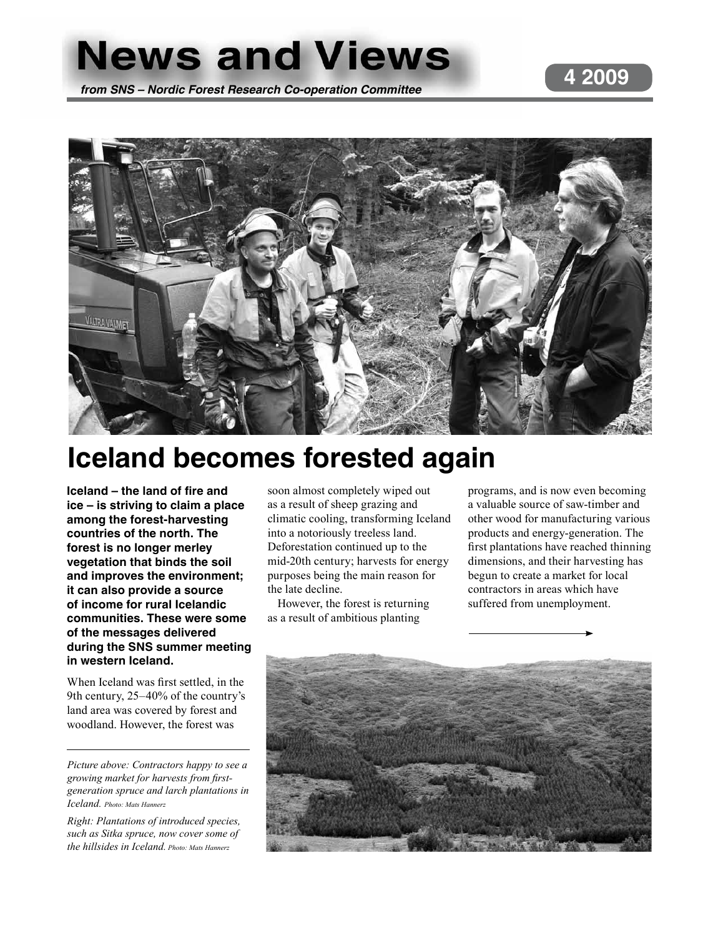# **News and Views**

*from SNS – Nordic Forest Research Co-operation Committee*

### **4 2009**



# **Iceland becomes forested again**

**Iceland – the land of fire and ice – is striving to claim a place among the forest-harvesting countries of the north. The forest is no longer merley vegetation that binds the soil and improves the environment; it can also provide a source of income for rural Icelandic communities. These were some of the messages delivered during the SNS summer meeting in western Iceland.** 

When Iceland was first settled, in the 9th century, 25–40% of the country's land area was covered by forest and woodland. However, the forest was

*Picture above: Contractors happy to see a growing market for harvests from firstgeneration spruce and larch plantations in Iceland. Photo: Mats Hannerz*

*Right: Plantations of introduced species, such as Sitka spruce, now cover some of the hillsides in Iceland. Photo: Mats Hannerz*

soon almost completely wiped out as a result of sheep grazing and climatic cooling, transforming Iceland into a notoriously treeless land. Deforestation continued up to the mid-20th century; harvests for energy purposes being the main reason for the late decline.

However, the forest is returning as a result of ambitious planting

programs, and is now even becoming a valuable source of saw-timber and other wood for manufacturing various products and energy-generation. The first plantations have reached thinning dimensions, and their harvesting has begun to create a market for local contractors in areas which have suffered from unemployment.

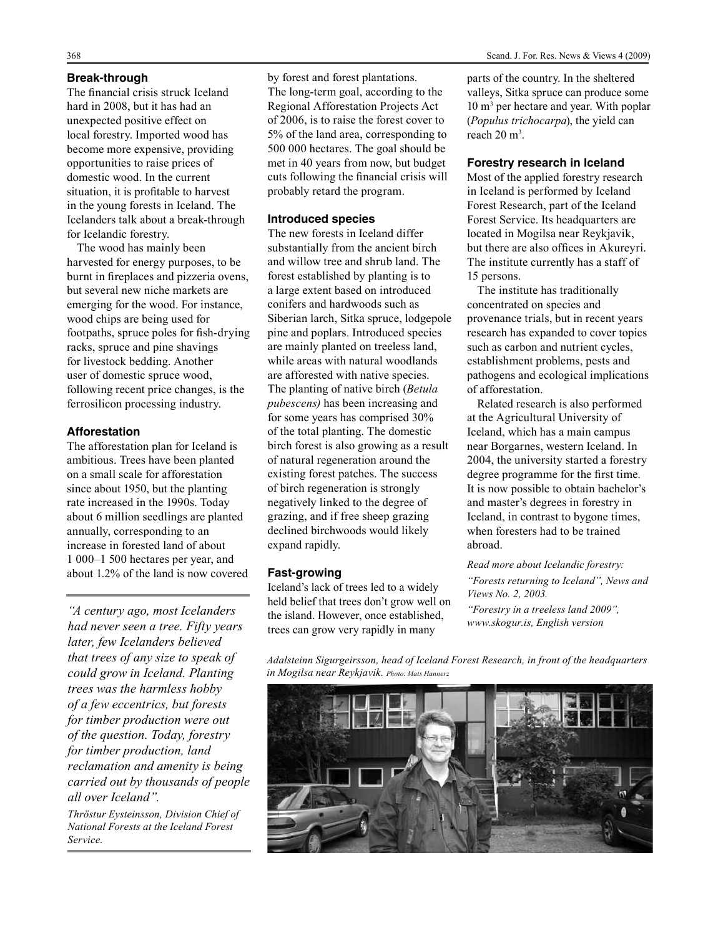#### **Break-through**

The financial crisis struck Iceland hard in 2008, but it has had an unexpected positive effect on local forestry. Imported wood has become more expensive, providing opportunities to raise prices of domestic wood. In the current situation, it is profitable to harvest in the young forests in Iceland. The Icelanders talk about a break-through for Icelandic forestry.

The wood has mainly been harvested for energy purposes, to be burnt in fireplaces and pizzeria ovens, but several new niche markets are emerging for the wood. For instance, wood chips are being used for footpaths, spruce poles for fish-drying racks, spruce and pine shavings for livestock bedding. Another user of domestic spruce wood, following recent price changes, is the ferrosilicon processing industry.

#### **Afforestation**

The afforestation plan for Iceland is ambitious. Trees have been planted on a small scale for afforestation since about 1950, but the planting rate increased in the 1990s. Today about 6 million seedlings are planted annually, corresponding to an increase in forested land of about 1 000–1 500 hectares per year, and about 1.2% of the land is now covered

*"A century ago, most Icelanders had never seen a tree. Fifty years later, few Icelanders believed that trees of any size to speak of could grow in Iceland. Planting trees was the harmless hobby of a few eccentrics, but forests for timber production were out of the question. Today, forestry for timber production, land reclamation and amenity is being carried out by thousands of people all over Iceland".* 

*Thröstur Eysteinsson, Division Chief of National Forests at the Iceland Forest Service.* 

by forest and forest plantations. The long-term goal, according to the Regional Afforestation Projects Act of 2006, is to raise the forest cover to 5% of the land area, corresponding to 500 000 hectares. The goal should be met in 40 years from now, but budget cuts following the financial crisis will probably retard the program.

#### **Introduced species**

The new forests in Iceland differ substantially from the ancient birch and willow tree and shrub land. The forest established by planting is to a large extent based on introduced conifers and hardwoods such as Siberian larch, Sitka spruce, lodgepole pine and poplars. Introduced species are mainly planted on treeless land, while areas with natural woodlands are afforested with native species. The planting of native birch (*Betula pubescens)* has been increasing and for some years has comprised 30% of the total planting. The domestic birch forest is also growing as a result of natural regeneration around the existing forest patches. The success of birch regeneration is strongly negatively linked to the degree of grazing, and if free sheep grazing declined birchwoods would likely expand rapidly.

#### **Fast-growing**

Iceland's lack of trees led to a widely held belief that trees don't grow well on the island. However, once established, trees can grow very rapidly in many

parts of the country. In the sheltered valleys, Sitka spruce can produce some 10 m<sup>3</sup> per hectare and year. With poplar (*Populus trichocarpa*), the yield can reach 20 m<sup>3</sup>.

#### **Forestry research in Iceland**

Most of the applied forestry research in Iceland is performed by Iceland Forest Research, part of the Iceland Forest Service. Its headquarters are located in Mogilsa near Reykjavik, but there are also offices in Akureyri. The institute currently has a staff of 15 persons.

The institute has traditionally concentrated on species and provenance trials, but in recent years research has expanded to cover topics such as carbon and nutrient cycles, establishment problems, pests and pathogens and ecological implications of afforestation.

Related research is also performed at the Agricultural University of Iceland, which has a main campus near Borgarnes, western Iceland. In 2004, the university started a forestry degree programme for the first time. It is now possible to obtain bachelor's and master's degrees in forestry in Iceland, in contrast to bygone times, when foresters had to be trained abroad.

*Read more about Icelandic forestry: "Forests returning to Iceland", News and Views No. 2, 2003.*

*"Forestry in a treeless land 2009", www.skogur.is, English version*

*Adalsteinn Sigurgeirsson, head of Iceland Forest Research, in front of the headquarters in Mogilsa near Reykjavik. Photo: Mats Hannerz*

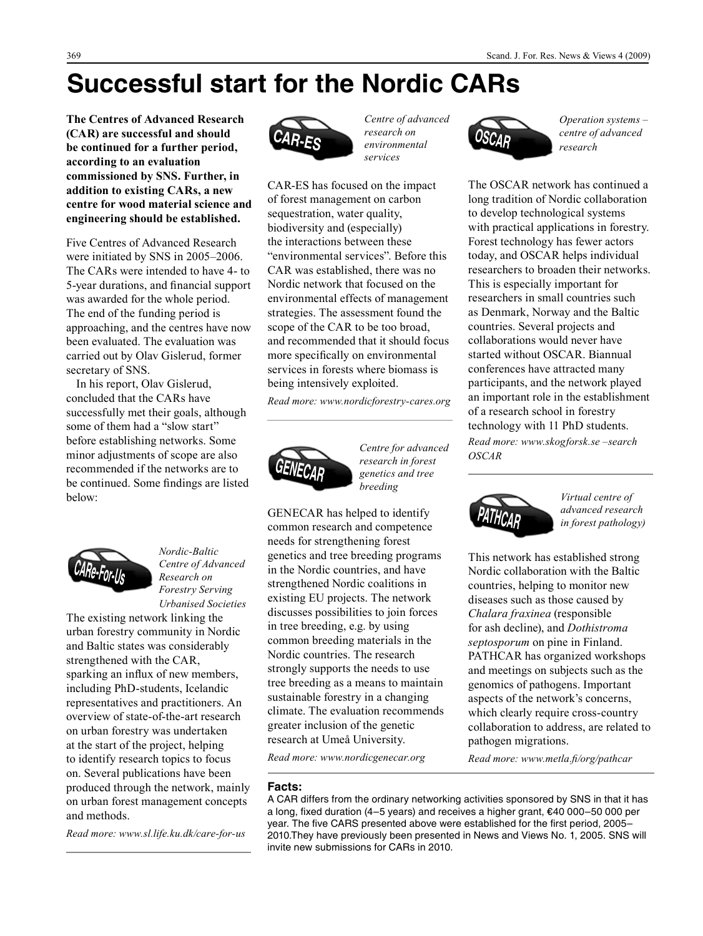# **Successful start for the Nordic CARs**

**The Centres of Advanced Research (CAR) are successful and should be continued for a further period, according to an evaluation commissioned by SNS. Further, in addition to existing CARs, a new centre for wood material science and engineering should be established.**

Five Centres of Advanced Research were initiated by SNS in 2005–2006. The CARs were intended to have 4- to 5-year durations, and financial support was awarded for the whole period. The end of the funding period is approaching, and the centres have now been evaluated. The evaluation was carried out by Olav Gislerud, former secretary of SNS.

In his report, Olav Gislerud, concluded that the CARs have successfully met their goals, although some of them had a "slow start" before establishing networks. Some minor adjustments of scope are also recommended if the networks are to be continued. Some findings are listed below:



*Nordic-Baltic Centre of Advanced Research on Forestry Serving Urbanised Societies*

The existing network linking the urban forestry community in Nordic and Baltic states was considerably strengthened with the CAR, sparking an influx of new members, including PhD-students, Icelandic representatives and practitioners. An overview of state-of-the-art research on urban forestry was undertaken at the start of the project, helping to identify research topics to focus on. Several publications have been produced through the network, mainly on urban forest management concepts and methods.

*Read more: www.sl.life.ku.dk/care-for-us* 



*Centre of advanced research on environmental services*

CAR-ES has focused on the impact of forest management on carbon sequestration, water quality, biodiversity and (especially) the interactions between these "environmental services". Before this CAR was established, there was no Nordic network that focused on the environmental effects of management strategies. The assessment found the scope of the CAR to be too broad, and recommended that it should focus more specifically on environmental services in forests where biomass is being intensively exploited.

*Read more: www.nordicforestry-cares.org* 



*Centre for advanced research in forest genetics and tree breeding*

GENECAR has helped to identify common research and competence needs for strengthening forest genetics and tree breeding programs in the Nordic countries, and have strengthened Nordic coalitions in existing EU projects. The network discusses possibilities to join forces in tree breeding, e.g. by using common breeding materials in the Nordic countries. The research strongly supports the needs to use tree breeding as a means to maintain sustainable forestry in a changing climate. The evaluation recommends greater inclusion of the genetic research at Umeå University.

*Read more: www.nordicgenecar.org* 

#### **Facts:**

A CAR differs from the ordinary networking activities sponsored by SNS in that it has a long, fixed duration (4–5 years) and receives a higher grant, €40 000–50 000 per year. The five CARS presented above were established for the first period, 2005– 2010.They have previously been presented in News and Views No. 1, 2005. SNS will invite new submissions for CARs in 2010.



*Operation systems – centre of advanced research*

The OSCAR network has continued a long tradition of Nordic collaboration to develop technological systems with practical applications in forestry. Forest technology has fewer actors today, and OSCAR helps individual researchers to broaden their networks. This is especially important for researchers in small countries such as Denmark, Norway and the Baltic countries. Several projects and collaborations would never have started without OSCAR. Biannual conferences have attracted many participants, and the network played an important role in the establishment of a research school in forestry technology with 11 PhD students. *Read more: www.skogforsk.se –search OSCAR*



*Virtual centre of advanced research in forest pathology)*

This network has established strong Nordic collaboration with the Baltic countries, helping to monitor new diseases such as those caused by *Chalara fraxinea* (responsible for ash decline), and *Dothistroma septosporum* on pine in Finland. PATHCAR has organized workshops and meetings on subjects such as the genomics of pathogens. Important aspects of the network's concerns, which clearly require cross-country collaboration to address, are related to pathogen migrations.

*Read more: www.metla.fi/org/pathcar*